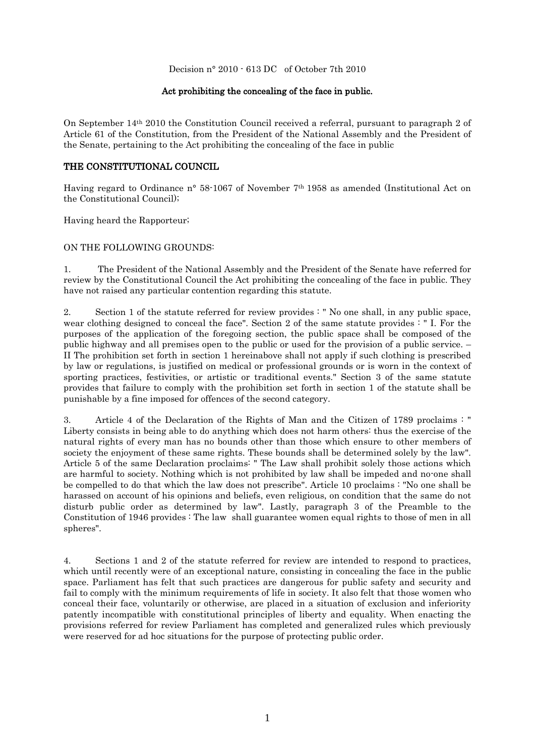Decision n° 2010 - 613 DC of October 7th 2010

## Act prohibiting the concealing of the face in public.

On September 14th 2010 the Constitution Council received a referral, pursuant to paragraph 2 of Article 61 of the Constitution, from the President of the National Assembly and the President of the Senate, pertaining to the Act prohibiting the concealing of the face in public

## THE CONSTITUTIONAL COUNCIL

Having regard to Ordinance n° 58-1067 of November 7th 1958 as amended (Institutional Act on the Constitutional Council);

Having heard the Rapporteur;

## ON THE FOLLOWING GROUNDS:

1. The President of the National Assembly and the President of the Senate have referred for review by the Constitutional Council the Act prohibiting the concealing of the face in public. They have not raised any particular contention regarding this statute.

2. Section 1 of the statute referred for review provides : " No one shall, in any public space, wear clothing designed to conceal the face". Section 2 of the same statute provides : " I. For the purposes of the application of the foregoing section, the public space shall be composed of the public highway and all premises open to the public or used for the provision of a public service. – II The prohibition set forth in section 1 hereinabove shall not apply if such clothing is prescribed by law or regulations, is justified on medical or professional grounds or is worn in the context of sporting practices, festivities, or artistic or traditional events." Section 3 of the same statute provides that failure to comply with the prohibition set forth in section 1 of the statute shall be punishable by a fine imposed for offences of the second category.

3. Article 4 of the Declaration of the Rights of Man and the Citizen of 1789 proclaims : " Liberty consists in being able to do anything which does not harm others: thus the exercise of the natural rights of every man has no bounds other than those which ensure to other members of society the enjoyment of these same rights. These bounds shall be determined solely by the law". Article 5 of the same Declaration proclaims: " The Law shall prohibit solely those actions which are harmful to society. Nothing which is not prohibited by law shall be impeded and no-one shall be compelled to do that which the law does not prescribe". Article 10 proclaims : "No one shall be harassed on account of his opinions and beliefs, even religious, on condition that the same do not disturb public order as determined by law". Lastly, paragraph 3 of the Preamble to the Constitution of 1946 provides : The law shall guarantee women equal rights to those of men in all spheres".

4. Sections 1 and 2 of the statute referred for review are intended to respond to practices, which until recently were of an exceptional nature, consisting in concealing the face in the public space. Parliament has felt that such practices are dangerous for public safety and security and fail to comply with the minimum requirements of life in society. It also felt that those women who conceal their face, voluntarily or otherwise, are placed in a situation of exclusion and inferiority patently incompatible with constitutional principles of liberty and equality. When enacting the provisions referred for review Parliament has completed and generalized rules which previously were reserved for ad hoc situations for the purpose of protecting public order.